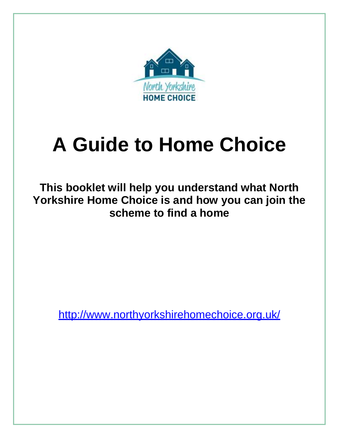

# **A Guide to Home Choice**

**This booklet will help you understand what North Yorkshire Home Choice is and how you can join the scheme to find a home**

<http://www.northyorkshirehomechoice.org.uk/>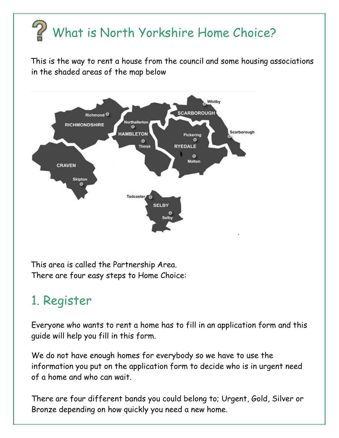## What is North Yorkshire Home Choice?

 This is the way to rent a house from the council and some housing associations in the shaded areas of the map below



 This area is called the Partnership Area. There are four easy steps to Home Choice:

## 1. Register

Everyone who wants to rent a home has to fill in an application form and this guide will help you fill in this form.

We do not have enough homes for everybody so we have to use the information you put on the application form to decide who is in urgent need of a home and who can wait.

There are four different bands you could belong to; Urgent, Gold, Silver or Bronze depending on how quickly you need a new home.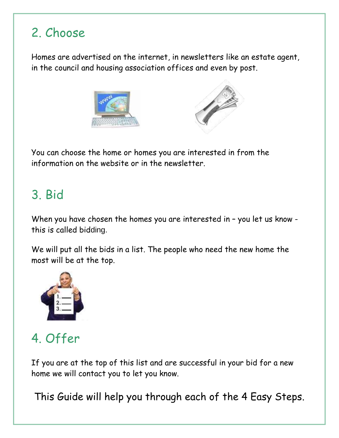## 2. Choose

Homes are advertised on the internet, in newsletters like an estate agent, in the council and housing association offices and even by post.





You can choose the home or homes you are interested in from the information on the website or in the newsletter.

### 3. Bid

When you have chosen the homes you are interested in – you let us know this is called bidding.

We will put all the bids in a list. The people who need the new home the most will be at the top.



## 4. Offer

If you are at the top of this list and are successful in your bid for a new home we will contact you to let you know.

This Guide will help you through each of the 4 Easy Steps.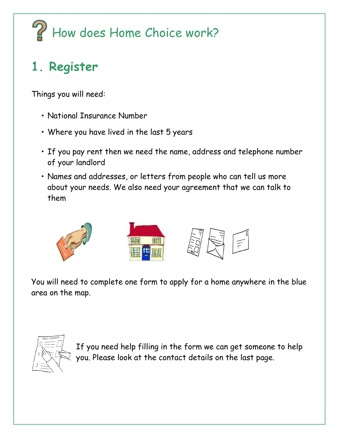# $\mathbb{Z}$  How does Home Choice work?

## **1. Register**

Things you will need:

- National Insurance Number
- Where you have lived in the last 5 years
- If you pay rent then we need the name, address and telephone number of your landlord
- Names and addresses, or letters from people who can tell us more about your needs. We also need your agreement that we can talk to them



You will need to complete one form to apply for a home anywhere in the blue area on the map.



If you need help filling in the form we can get someone to help you. Please look at the contact details on the last page.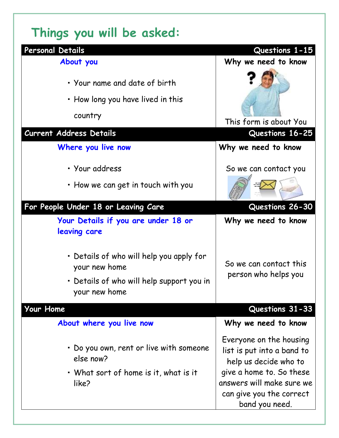## **Things you will be asked:**

| Personal Details                                                                                                        | Questions 1-15                                                                                                                                                                        |
|-------------------------------------------------------------------------------------------------------------------------|---------------------------------------------------------------------------------------------------------------------------------------------------------------------------------------|
| About you                                                                                                               | Why we need to know                                                                                                                                                                   |
| • Your name and date of birth<br>• How long you have lived in this<br>country                                           | This form is about You                                                                                                                                                                |
| Current Address Details                                                                                                 | Questions 16-25                                                                                                                                                                       |
| Where you live now                                                                                                      | Why we need to know                                                                                                                                                                   |
| • Your address                                                                                                          | So we can contact you                                                                                                                                                                 |
| • How we can get in touch with you                                                                                      |                                                                                                                                                                                       |
| For People Under 18 or Leaving Care                                                                                     | Questions 26-30                                                                                                                                                                       |
| Your Details if you are under 18 or<br>leaving care                                                                     | Why we need to know                                                                                                                                                                   |
| • Details of who will help you apply for<br>your new home<br>• Details of who will help support you in<br>your new home | So we can contact this<br>person who helps you                                                                                                                                        |
| Your Home                                                                                                               | Questions 31-33                                                                                                                                                                       |
| About where you live now                                                                                                | Why we need to know                                                                                                                                                                   |
| • Do you own, rent or live with someone<br>else now?<br>• What sort of home is it, what is it<br>like?                  | Everyone on the housing<br>list is put into a band to<br>help us decide who to<br>give a home to. So these<br>answers will make sure we<br>can give you the correct<br>band you need. |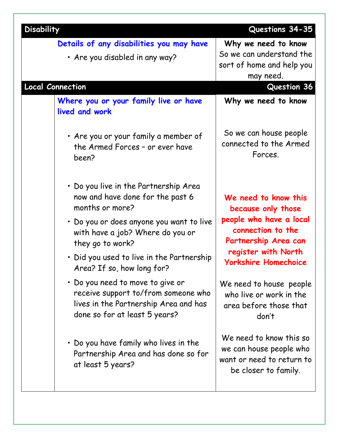| <b>Disability</b>                                                                                                                                                                                                                                                                                                                                                                                                                                                                                                                      | Questions 34-35                                                                                                                                                                                                                                                                                                                                                              |
|----------------------------------------------------------------------------------------------------------------------------------------------------------------------------------------------------------------------------------------------------------------------------------------------------------------------------------------------------------------------------------------------------------------------------------------------------------------------------------------------------------------------------------------|------------------------------------------------------------------------------------------------------------------------------------------------------------------------------------------------------------------------------------------------------------------------------------------------------------------------------------------------------------------------------|
| Details of any disabilities you may have<br>• Are you disabled in any way?                                                                                                                                                                                                                                                                                                                                                                                                                                                             | Why we need to know<br>So we can understand the<br>sort of home and help you<br>may need.                                                                                                                                                                                                                                                                                    |
| <b>Local Connection</b>                                                                                                                                                                                                                                                                                                                                                                                                                                                                                                                | <b>Question 36</b>                                                                                                                                                                                                                                                                                                                                                           |
| Where you or your family live or have<br>lived and work                                                                                                                                                                                                                                                                                                                                                                                                                                                                                | Why we need to know                                                                                                                                                                                                                                                                                                                                                          |
| • Are you or your family a member of<br>the Armed Forces - or ever have<br>been?                                                                                                                                                                                                                                                                                                                                                                                                                                                       | So we can house people<br>connected to the Armed<br>Forces.                                                                                                                                                                                                                                                                                                                  |
| • Do you live in the Partnership Area<br>now and have done for the past 6<br>months or more?<br>• Do you or does anyone you want to live<br>with have a job? Where do you or<br>they go to work?<br>• Did you used to live in the Partnership<br>Area? If so, how long for?<br>• Do you need to move to give or<br>receive support to/from someone who<br>lives in the Partnership Area and has<br>done so for at least 5 years?<br>• Do you have family who lives in the<br>Partnership Area and has done so for<br>at least 5 years? | We need to know this<br>because only those<br>people who have a local<br>connection to the<br>Partnership Area can<br>register with North<br><b>Yorkshire Homechoice</b><br>We need to house people<br>who live or work in the<br>area before those that<br>don't<br>We need to know this so<br>we can house people who<br>want or need to return to<br>be closer to family. |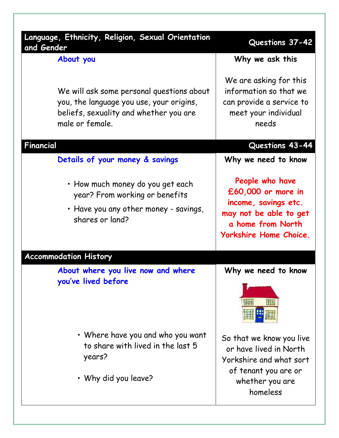| Language, Ethnicity, Religion, Sexual Orientation<br>and Gender                                                                                    | Questions 37-42                                                                                                                        |
|----------------------------------------------------------------------------------------------------------------------------------------------------|----------------------------------------------------------------------------------------------------------------------------------------|
| About you                                                                                                                                          | Why we ask this                                                                                                                        |
| We will ask some personal questions about<br>you, the language you use, your origins,<br>beliefs, sexuality and whether you are<br>male or female. | We are asking for this<br>information so that we<br>can provide a service to<br>meet your individual<br>needs                          |
| Financial                                                                                                                                          | Questions 43-44                                                                                                                        |
| Details of your money & savings                                                                                                                    | Why we need to know                                                                                                                    |
| • How much money do you get each<br>year? From working or benefits<br>• Have you any other money - savings,<br>shares or land?                     | People who have<br>£60,000 or more in<br>income, savings etc.<br>may not be able to get<br>a home from North<br>Yorkshire Home Choice. |
| <b>Accommodation History</b>                                                                                                                       |                                                                                                                                        |
| About where you live now and where<br>you've lived before                                                                                          | Why we need to know                                                                                                                    |
| • Where have you and who you want<br>to share with lived in the last 5<br>years?<br>• Why did you leave?                                           | So that we know you live<br>or have lived in North<br>Yorkshire and what sort<br>of tenant you are or<br>whether you are<br>homeless   |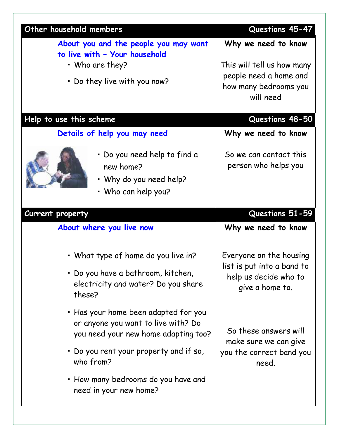| Other household members                                                                                             | Questions 45-47                                                                                                                                                                          |
|---------------------------------------------------------------------------------------------------------------------|------------------------------------------------------------------------------------------------------------------------------------------------------------------------------------------|
| About you and the people you may want<br>to live with - Your household                                              | Why we need to know                                                                                                                                                                      |
| • Who are they?<br>. Do they live with you now?                                                                     | This will tell us how many<br>people need a home and<br>how many bedrooms you<br>will need                                                                                               |
|                                                                                                                     |                                                                                                                                                                                          |
| Help to use this scheme                                                                                             | Questions 48-50                                                                                                                                                                          |
| Details of help you may need                                                                                        | Why we need to know                                                                                                                                                                      |
| • Do you need help to find a<br>new home?<br>. Why do you need help?<br>• Who can help you?                         | So we can contact this<br>person who helps you                                                                                                                                           |
| Current property                                                                                                    | Questions 51-59                                                                                                                                                                          |
| About where you live now                                                                                            | Why we need to know                                                                                                                                                                      |
| • What type of home do you live in?                                                                                 | Everyone on the housing<br>list is put into a band to<br>help us decide who to<br>give a home to.<br>So these answers will<br>make sure we can give<br>you the correct band you<br>need. |
| • Do you have a bathroom, kitchen,<br>electricity and water? Do you share<br>these?                                 |                                                                                                                                                                                          |
| • Has your home been adapted for you<br>or anyone you want to live with? Do<br>you need your new home adapting too? |                                                                                                                                                                                          |
| • Do you rent your property and if so,<br>who from?                                                                 |                                                                                                                                                                                          |
| • How many bedrooms do you have and<br>need in your new home?                                                       |                                                                                                                                                                                          |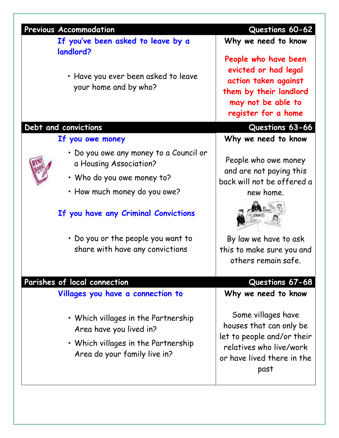| <b>Previous Accommodation</b>                                                                                                         | Questions 60-62                                                                                                                              |
|---------------------------------------------------------------------------------------------------------------------------------------|----------------------------------------------------------------------------------------------------------------------------------------------|
| If you've been asked to leave by a                                                                                                    | Why we need to know                                                                                                                          |
| landlord?<br>• Have you ever been asked to leave<br>your home and by who?                                                             | People who have been<br>evicted or had legal<br>action taken against<br>them by their landlord<br>may not be able to<br>register for a home  |
| Debt and convictions                                                                                                                  | Questions 63-66                                                                                                                              |
| If you owe money                                                                                                                      | Why we need to know                                                                                                                          |
| • Do you owe any money to a Council or<br>a Housing Association?                                                                      | People who owe money                                                                                                                         |
| • Who do you owe money to?                                                                                                            | and are not paying this<br>back will not be offered a                                                                                        |
| • How much money do you owe?                                                                                                          | new home.                                                                                                                                    |
| If you have any Criminal Convictions                                                                                                  |                                                                                                                                              |
| . Do you or the people you want to                                                                                                    | By law we have to ask                                                                                                                        |
| share with have any convictions                                                                                                       | this to make sure you and                                                                                                                    |
|                                                                                                                                       | others remain safe.                                                                                                                          |
| Parishes of local connection                                                                                                          | Questions 67-68                                                                                                                              |
| Villages you have a connection to                                                                                                     | Why we need to know                                                                                                                          |
| • Which villages in the Partnership<br>Area have you lived in?<br>• Which villages in the Partnership<br>Area do your family live in? | Some villages have<br>houses that can only be<br>let to people and/or their<br>relatives who live/work<br>or have lived there in the<br>past |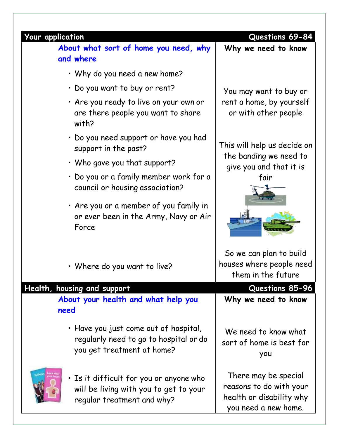| <b>Your application</b> | About what sort of home you need, why<br>and where                                                                                                                                                                                                                                                                                                                                                                                | Questions 69-84<br>Why we need to know                                                                                                                                 |
|-------------------------|-----------------------------------------------------------------------------------------------------------------------------------------------------------------------------------------------------------------------------------------------------------------------------------------------------------------------------------------------------------------------------------------------------------------------------------|------------------------------------------------------------------------------------------------------------------------------------------------------------------------|
|                         | • Why do you need a new home?<br>. Do you want to buy or rent?<br>• Are you ready to live on your own or<br>are there people you want to share<br>with?<br>• Do you need support or have you had<br>support in the past?<br>• Who gave you that support?<br>• Do you or a family member work for a<br>council or housing association?<br>• Are you or a member of you family in<br>or ever been in the Army, Navy or Air<br>Force | You may want to buy or<br>rent a home, by yourself<br>or with other people<br>This will help us decide on<br>the banding we need to<br>give you and that it is<br>fair |
|                         | • Where do you want to live?                                                                                                                                                                                                                                                                                                                                                                                                      | So we can plan to build<br>houses where people need<br>them in the future                                                                                              |
|                         | Health, housing and support                                                                                                                                                                                                                                                                                                                                                                                                       | Questions 85-96                                                                                                                                                        |
| need                    | About your health and what help you                                                                                                                                                                                                                                                                                                                                                                                               | Why we need to know                                                                                                                                                    |
|                         | • Have you just come out of hospital,<br>regularly need to go to hospital or do<br>you get treatment at home?                                                                                                                                                                                                                                                                                                                     | We need to know what<br>sort of home is best for<br>you                                                                                                                |
|                         | . Is it difficult for you or anyone who<br>will be living with you to get to your<br>regular treatment and why?                                                                                                                                                                                                                                                                                                                   | There may be special<br>reasons to do with your<br>health or disability why<br>you need a new home.                                                                    |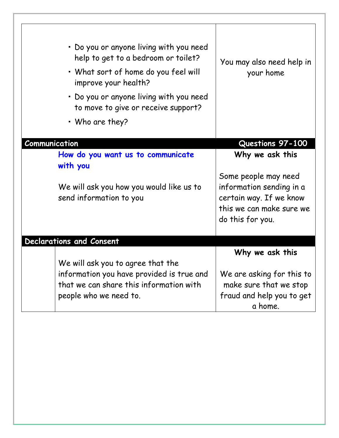| • Do you or anyone living with you need<br>help to get to a bedroom or toilet?<br>• What sort of home do you feel will<br>improve your health?<br>• Do you or anyone living with you need<br>to move to give or receive support?<br>• Who are they? | You may also need help in<br>your home                                                              |
|-----------------------------------------------------------------------------------------------------------------------------------------------------------------------------------------------------------------------------------------------------|-----------------------------------------------------------------------------------------------------|
| Communication                                                                                                                                                                                                                                       | Questions 97-100                                                                                    |
| How do you want us to communicate<br>with you                                                                                                                                                                                                       | Why we ask this<br>Some people may need                                                             |
| We will ask you how you would like us to<br>send information to you                                                                                                                                                                                 | information sending in a<br>certain way. If we know<br>this we can make sure we<br>do this for you. |
| Declarations and Consent                                                                                                                                                                                                                            |                                                                                                     |
| We will ask you to agree that the                                                                                                                                                                                                                   | Why we ask this                                                                                     |
| information you have provided is true and<br>that we can share this information with                                                                                                                                                                | We are asking for this to<br>make sure that we stop                                                 |
| people who we need to.                                                                                                                                                                                                                              | fraud and help you to get<br>a home.                                                                |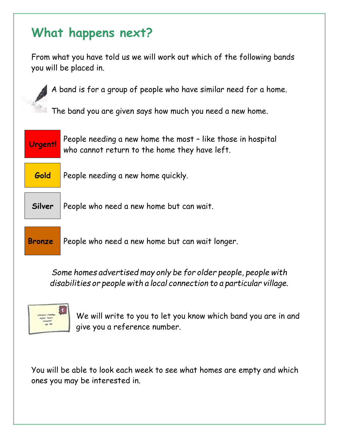### **What happens next?**

From what you have told us we will work out which of the following bands you will be placed in.

A band is for a group of people who have similar need for a home.

**The band you are given says how much you need a new home.** 



**Gold** People needing a new home quickly.

**Silver** People who need a new home but can wait.

**Bronze** People who need a new home but can wait longer.

*Some homes advertised may only be for older people, people with disabilities or people with a local connection to a particular village.*



We will write to you to let you know which band you are in and give you a reference number.

You will be able to look each week to see what homes are empty and which ones you may be interested in.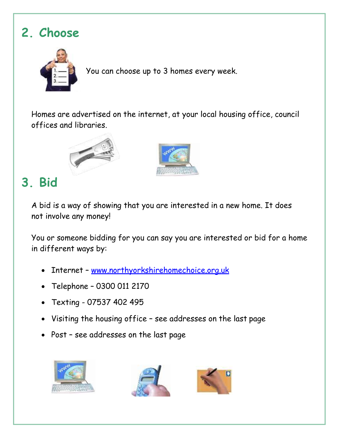## **2. Choose**



You can choose up to 3 homes every week.

Homes are advertised on the internet, at your local housing office, council offices and libraries.





## **3. Bid**

A bid is a way of showing that you are interested in a new home. It does not involve any money!

You or someone bidding for you can say you are interested or bid for a home in different ways by:

- Internet [www.northyorkshirehomechoice.org.uk](http://www.northyorkshirehomechoice.org.uk/)
- Telephone 0300 011 2170
- Texting 07537 402 495
- Visiting the housing office see addresses on the last page
- Post see addresses on the last page





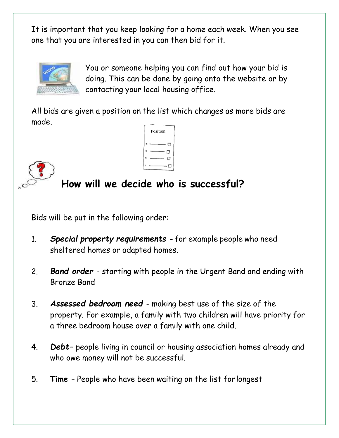It is important that you keep looking for a home each week. When you see one that you are interested in you can then bid for it.



You or someone helping you can find out how your bid is doing. This can be done by going onto the website or by contacting your local housing office.

All bids are given a position on the list which changes as more bids are made.





### **How will we decide who is successful?**

Bids will be put in the following order:

- 1. *Special property requirements* for example people who need sheltered homes or adapted homes.
- 2. *Band order*  starting with people in the Urgent Band and ending with Bronze Band
- 3. *Assessed bedroom need*  making best use of the size of the property. For example, a family with two children will have priority for a three bedroom house over a family with one child.
- 4. *Debt* people living in council or housing association homes already and who owe money will not be successful.
- 5. **Time**  People who have been waiting on the list forlongest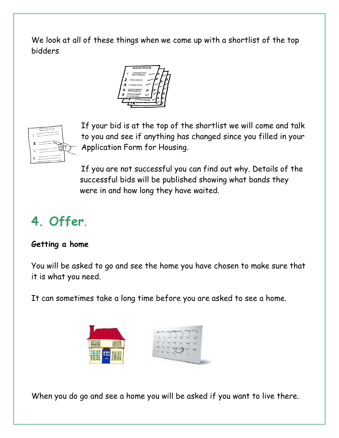We look at all of these things when we come up with a shortlist of the top bidders





If your bid is at the top of the shortlist we will come and talk to you and see if anything has changed since you filled in your Application Form for Housing.

If you are not successful you can find out why. Details of the successful bids will be published showing what bands they were in and how long they have waited.

## **4. Offer**.

#### **Getting a home**

You will be asked to go and see the home you have chosen to make sure that it is what you need.

It can sometimes take a long time before you are asked to see a home.



When you do go and see a home you will be asked if you want to live there.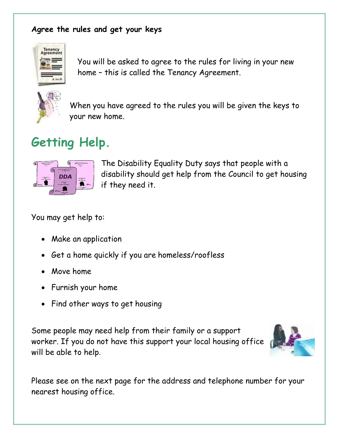#### **Agree the rules and get your keys**



You will be asked to agree to the rules for living in your new home – this is called the Tenancy Agreement.



When you have agreed to the rules you will be given the keys to your new home.

## **Getting Help.**



The Disability Equality Duty says that people with a disability should get help from the Council to get housing if they need it.

You may get help to:

- Make an application
- Get a home quickly if you are homeless/roofless
- Move home
- Furnish your home
- Find other ways to get housing

Some people may need help from their family or a support worker. If you do not have this support your local housing office will be able to help.



Please see on the next page for the address and telephone number for your nearest housing office.